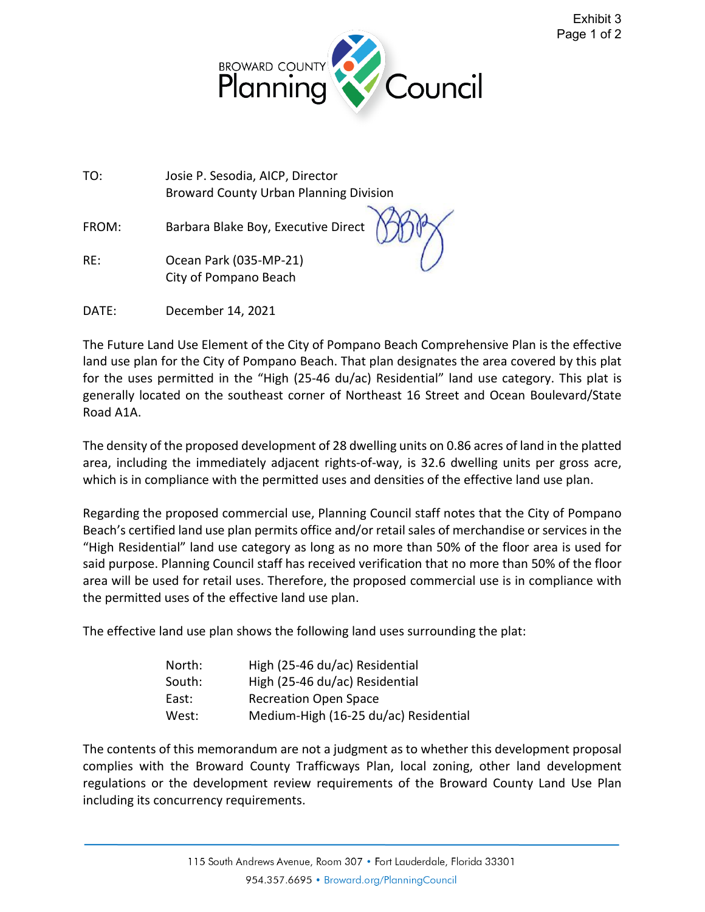



TO: Josie P. Sesodia, AICP, Director Broward County Urban Planning Division

FROM: Barbara Blake Boy, Executive Director

RE: Ocean Park (035-MP-21) City of Pompano Beach

DATE: December 14, 2021

The Future Land Use Element of the City of Pompano Beach Comprehensive Plan is the effective land use plan for the City of Pompano Beach. That plan designates the area covered by this plat for the uses permitted in the "High (25-46 du/ac) Residential" land use category. This plat is generally located on the southeast corner of Northeast 16 Street and Ocean Boulevard/State Road A1A.

The density of the proposed development of 28 dwelling units on 0.86 acres of land in the platted area, including the immediately adjacent rights-of-way, is 32.6 dwelling units per gross acre, which is in compliance with the permitted uses and densities of the effective land use plan.

Regarding the proposed commercial use, Planning Council staff notes that the City of Pompano Beach's certified land use plan permits office and/or retail sales of merchandise or services in the "High Residential" land use category as long as no more than 50% of the floor area is used for said purpose. Planning Council staff has received verification that no more than 50% of the floor area will be used for retail uses. Therefore, the proposed commercial use is in compliance with the permitted uses of the effective land use plan.

The effective land use plan shows the following land uses surrounding the plat:

| North: | High (25-46 du/ac) Residential        |
|--------|---------------------------------------|
| South: | High (25-46 du/ac) Residential        |
| East:  | <b>Recreation Open Space</b>          |
| West:  | Medium-High (16-25 du/ac) Residential |

The contents of this memorandum are not a judgment as to whether this development proposal complies with the Broward County Trafficways Plan, local zoning, other land development regulations or the development review requirements of the Broward County Land Use Plan including its concurrency requirements.